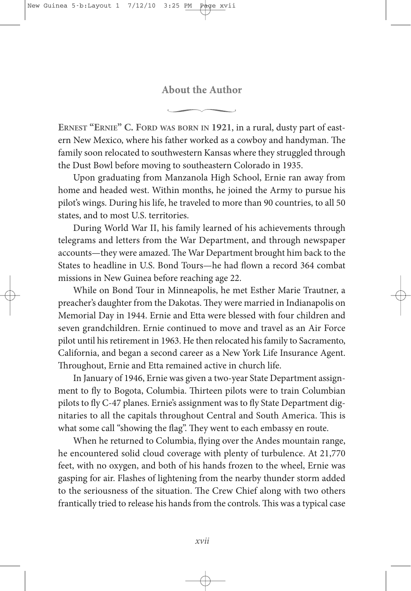## **About the Author**

**ERNEST "ERNIE" C. FORD WAS BORN IN 1921**, in a rural, dusty part of eastern New Mexico, where his father worked as a cowboy and handyman. The family soon relocated to southwestern Kansas where they struggled through the Dust Bowl before moving to southeastern Colorado in 1935.

Upon graduating from Manzanola High School, Ernie ran away from home and headed west. Within months, he joined the Army to pursue his pilot's wings. During his life, he traveled to more than 90 countries, to all 50 states, and to most U.S. territories.

During World War II, his family learned of his achievements through telegrams and letters from the War Department, and through newspaper accounts—they were amazed. The War Department brought him back to the States to headline in U.S. Bond Tours—he had flown a record 364 combat missions in New Guinea before reaching age 22.

While on Bond Tour in Minneapolis, he met Esther Marie Trautner, a preacher's daughter from the Dakotas. They were married in Indianapolis on Memorial Day in 1944. Ernie and Etta were blessed with four children and seven grandchildren. Ernie continued to move and travel as an Air Force pilot until his retirement in 1963. He then relocated his family to Sacramento, California, and began a second career as a New York Life Insurance Agent. Throughout, Ernie and Etta remained active in church life.

In January of 1946, Ernie was given a two-year State Department assignment to fly to Bogota, Columbia. Thirteen pilots were to train Columbian pilots to fly C-47 planes. Ernie's assignment was to fly State Department dignitaries to all the capitals throughout Central and South America. This is what some call "showing the flag". They went to each embassy en route.

When he returned to Columbia, flying over the Andes mountain range, he encountered solid cloud coverage with plenty of turbulence. At 21,770 feet, with no oxygen, and both of his hands frozen to the wheel, Ernie was gasping for air. Flashes of lightening from the nearby thunder storm added to the seriousness of the situation. The Crew Chief along with two others frantically tried to release his hands from the controls. This was a typical case